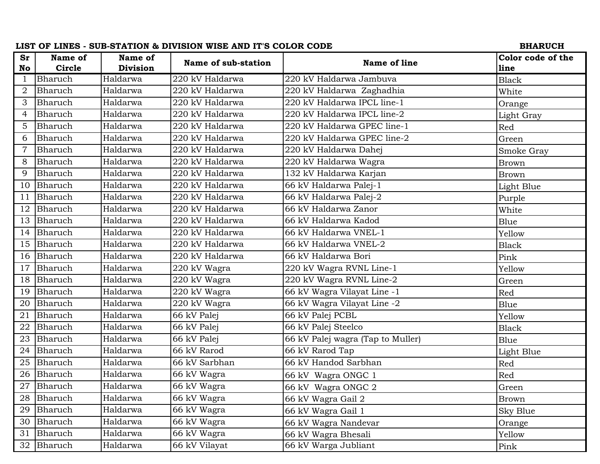| <b>Sr</b><br>Name of<br>Name of<br>Color code of the<br>Name of sub-station<br>Name of line<br><b>Circle</b><br><b>Division</b><br>No<br>line<br>Bharuch<br>Haldarwa<br>220 kV Haldarwa Jambuva<br>220 kV Haldarwa<br>$\mathbf 1$<br><b>Black</b><br>220 kV Haldarwa Zaghadhia<br>Bharuch<br>Haldarwa<br>220 kV Haldarwa<br>$\overline{2}$<br>White<br>220 kV Haldarwa IPCL line-1<br>Haldarwa<br>220 kV Haldarwa<br>3<br>Bharuch<br>Orange<br>220 kV Haldarwa IPCL line-2<br>Bharuch<br>Haldarwa<br>220 kV Haldarwa<br>$\overline{4}$<br>Light Gray<br>220 kV Haldarwa<br>220 kV Haldarwa GPEC line-1<br>5<br>Bharuch<br>Haldarwa<br>Red |
|-------------------------------------------------------------------------------------------------------------------------------------------------------------------------------------------------------------------------------------------------------------------------------------------------------------------------------------------------------------------------------------------------------------------------------------------------------------------------------------------------------------------------------------------------------------------------------------------------------------------------------------------|
|                                                                                                                                                                                                                                                                                                                                                                                                                                                                                                                                                                                                                                           |
|                                                                                                                                                                                                                                                                                                                                                                                                                                                                                                                                                                                                                                           |
|                                                                                                                                                                                                                                                                                                                                                                                                                                                                                                                                                                                                                                           |
|                                                                                                                                                                                                                                                                                                                                                                                                                                                                                                                                                                                                                                           |
|                                                                                                                                                                                                                                                                                                                                                                                                                                                                                                                                                                                                                                           |
|                                                                                                                                                                                                                                                                                                                                                                                                                                                                                                                                                                                                                                           |
|                                                                                                                                                                                                                                                                                                                                                                                                                                                                                                                                                                                                                                           |
| Bharuch<br>Haldarwa<br>220 kV Haldarwa<br>220 kV Haldarwa GPEC line-2<br>6<br>Green                                                                                                                                                                                                                                                                                                                                                                                                                                                                                                                                                       |
| Bharuch<br>220 kV Haldarwa<br>220 kV Haldarwa Dahej<br>7<br>Haldarwa<br>Smoke Gray                                                                                                                                                                                                                                                                                                                                                                                                                                                                                                                                                        |
| Haldarwa<br>220 kV Haldarwa<br>220 kV Haldarwa Wagra<br>8<br>Bharuch<br><b>Brown</b>                                                                                                                                                                                                                                                                                                                                                                                                                                                                                                                                                      |
| 132 kV Haldarwa Karjan<br>9<br>Bharuch<br>Haldarwa<br>220 kV Haldarwa<br><b>Brown</b>                                                                                                                                                                                                                                                                                                                                                                                                                                                                                                                                                     |
| 220 kV Haldarwa<br>66 kV Haldarwa Palej-1<br>10<br>Bharuch<br>Haldarwa<br>Light Blue                                                                                                                                                                                                                                                                                                                                                                                                                                                                                                                                                      |
| 66 kV Haldarwa Palej-2<br>Bharuch<br>Haldarwa<br>220 kV Haldarwa<br>11<br>Purple                                                                                                                                                                                                                                                                                                                                                                                                                                                                                                                                                          |
| 66 kV Haldarwa Zanor<br>Bharuch<br>Haldarwa<br>220 kV Haldarwa<br>12<br>White                                                                                                                                                                                                                                                                                                                                                                                                                                                                                                                                                             |
| 66 kV Haldarwa Kadod<br>Bharuch<br>Haldarwa<br>220 kV Haldarwa<br>13<br>Blue                                                                                                                                                                                                                                                                                                                                                                                                                                                                                                                                                              |
| 66 kV Haldarwa VNEL-1<br>Bharuch<br>Haldarwa<br>220 kV Haldarwa<br>14<br>Yellow                                                                                                                                                                                                                                                                                                                                                                                                                                                                                                                                                           |
| 220 kV Haldarwa<br>66 kV Haldarwa VNEL-2<br>Bharuch<br>Haldarwa<br>15<br><b>Black</b>                                                                                                                                                                                                                                                                                                                                                                                                                                                                                                                                                     |
| Bharuch<br>Haldarwa<br>220 kV Haldarwa<br>66 kV Haldarwa Bori<br>16<br>Pink                                                                                                                                                                                                                                                                                                                                                                                                                                                                                                                                                               |
| Bharuch<br>220 kV Wagra RVNL Line-1<br>17<br>Haldarwa<br>220 kV Wagra<br>Yellow                                                                                                                                                                                                                                                                                                                                                                                                                                                                                                                                                           |
| Haldarwa<br>220 kV Wagra<br>220 kV Wagra RVNL Line-2<br>18<br>Bharuch<br>Green                                                                                                                                                                                                                                                                                                                                                                                                                                                                                                                                                            |
| 66 kV Wagra Vilayat Line -1<br>Bharuch<br>Haldarwa<br>220 kV Wagra<br>19<br>Red                                                                                                                                                                                                                                                                                                                                                                                                                                                                                                                                                           |
| 66 kV Wagra Vilayat Line -2<br>20<br>Bharuch<br>Haldarwa<br>220 kV Wagra<br>Blue                                                                                                                                                                                                                                                                                                                                                                                                                                                                                                                                                          |
| 66 kV Palej PCBL<br>21<br>Bharuch<br>Haldarwa<br>66 kV Palej<br>Yellow                                                                                                                                                                                                                                                                                                                                                                                                                                                                                                                                                                    |
| Bharuch<br>66 kV Palej<br>66 kV Palej Steelco<br>22<br>Haldarwa<br><b>Black</b>                                                                                                                                                                                                                                                                                                                                                                                                                                                                                                                                                           |
| Haldarwa<br>66 kV Palej<br>66 kV Palej wagra (Tap to Muller)<br>Bharuch<br>23<br>Blue                                                                                                                                                                                                                                                                                                                                                                                                                                                                                                                                                     |
| 66 kV Rarod Tap<br>Bharuch<br>Haldarwa<br>66 kV Rarod<br>24<br>Light Blue                                                                                                                                                                                                                                                                                                                                                                                                                                                                                                                                                                 |
| Haldarwa<br>66 kV Sarbhan<br>66 kV Handod Sarbhan<br>25<br>Bharuch<br>Red                                                                                                                                                                                                                                                                                                                                                                                                                                                                                                                                                                 |
| Bharuch<br>26<br>Haldarwa<br>66 kV Wagra<br>Red<br>66 kV Wagra ONGC 1                                                                                                                                                                                                                                                                                                                                                                                                                                                                                                                                                                     |
| Bharuch<br>Haldarwa<br>66 kV Wagra<br>66 kV Wagra ONGC 2<br>Green                                                                                                                                                                                                                                                                                                                                                                                                                                                                                                                                                                         |
| Bharuch<br>Haldarwa<br>28<br>66 kV Wagra<br>66 kV Wagra Gail 2<br><b>Brown</b>                                                                                                                                                                                                                                                                                                                                                                                                                                                                                                                                                            |
| Bharuch<br>Haldarwa<br>66 kV Wagra<br>29<br>66 kV Wagra Gail 1<br>Sky Blue                                                                                                                                                                                                                                                                                                                                                                                                                                                                                                                                                                |
| 30<br>Haldarwa<br>66 kV Wagra<br>Bharuch<br>66 kV Wagra Nandevar<br>Orange                                                                                                                                                                                                                                                                                                                                                                                                                                                                                                                                                                |
| Bharuch<br>Haldarwa<br>66 kV Wagra<br>31<br>66 kV Wagra Bhesali<br>Yellow                                                                                                                                                                                                                                                                                                                                                                                                                                                                                                                                                                 |
| 66 kV Warga Jubliant<br>66 kV Vilayat<br>Bharuch<br>32<br>Haldarwa<br>Pink                                                                                                                                                                                                                                                                                                                                                                                                                                                                                                                                                                |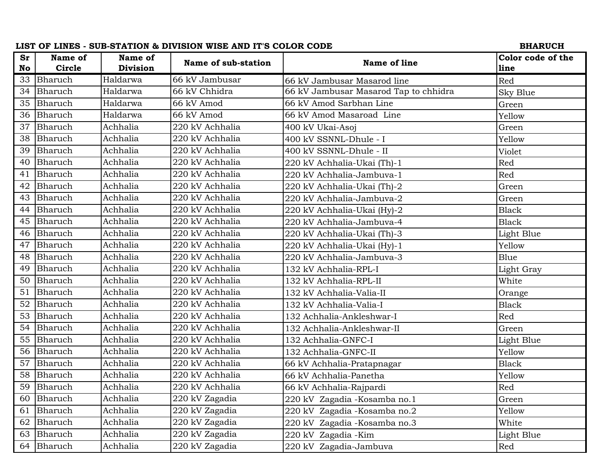|           |            |                 | LIST OF LINES - SUB-STATION & DIVISION WISE AND IT'S COLOR CODE |                                       | <b>BHARUCH</b>    |
|-----------|------------|-----------------|-----------------------------------------------------------------|---------------------------------------|-------------------|
| <b>Sr</b> | Name of    | Name of         | Name of sub-station                                             | Name of line                          | Color code of the |
| No        | Circle     | <b>Division</b> |                                                                 |                                       | line              |
| 33        | Bharuch    | Haldarwa        | 66 kV Jambusar                                                  | 66 kV Jambusar Masarod line           | Red               |
| 34        | Bharuch    | Haldarwa        | 66 kV Chhidra                                                   | 66 kV Jambusar Masarod Tap to chhidra | Sky Blue          |
| 35        | Bharuch    | Haldarwa        | 66 kV Amod                                                      | 66 kV Amod Sarbhan Line               | Green             |
| 36        | Bharuch    | Haldarwa        | 66 kV Amod                                                      | 66 kV Amod Masaroad Line              | Yellow            |
| 37        | Bharuch    | Achhalia        | 220 kV Achhalia                                                 | 400 kV Ukai-Asoj                      | Green             |
| 38        | Bharuch    | Achhalia        | 220 kV Achhalia                                                 | 400 kV SSNNL-Dhule - I                | Yellow            |
| 39        | Bharuch    | Achhalia        | 220 kV Achhalia                                                 | 400 kV SSNNL-Dhule - II               | Violet            |
| 40        | Bharuch    | Achhalia        | 220 kV Achhalia                                                 | 220 kV Achhalia-Ukai (Th)-1           | Red               |
| 41        | Bharuch    | Achhalia        | 220 kV Achhalia                                                 | 220 kV Achhalia-Jambuva-1             | Red               |
| 42        | Bharuch    | Achhalia        | 220 kV Achhalia                                                 | 220 kV Achhalia-Ukai (Th)-2           | Green             |
| 43        | Bharuch    | Achhalia        | 220 kV Achhalia                                                 | 220 kV Achhalia-Jambuva-2             | Green             |
| 44        | Bharuch    | Achhalia        | 220 kV Achhalia                                                 | 220 kV Achhalia-Ukai (Hy)-2           | <b>Black</b>      |
| 45        | Bharuch    | Achhalia        | 220 kV Achhalia                                                 | 220 kV Achhalia-Jambuva-4             | <b>Black</b>      |
| 46        | Bharuch    | Achhalia        | 220 kV Achhalia                                                 | 220 kV Achhalia-Ukai (Th)-3           | Light Blue        |
| 47        | Bharuch    | Achhalia        | 220 kV Achhalia                                                 | 220 kV Achhalia-Ukai (Hy)-1           | Yellow            |
| 48        | Bharuch    | Achhalia        | 220 kV Achhalia                                                 | 220 kV Achhalia-Jambuva-3             | Blue              |
| 49        | Bharuch    | Achhalia        | 220 kV Achhalia                                                 | 132 kV Achhalia-RPL-I                 | Light Gray        |
| 50        | Bharuch    | Achhalia        | 220 kV Achhalia                                                 | 132 kV Achhalia-RPL-II                | White             |
| 51        | Bharuch    | Achhalia        | 220 kV Achhalia                                                 | 132 kV Achhalia-Valia-II              | Orange            |
| 52        | Bharuch    | Achhalia        | 220 kV Achhalia                                                 | 132 kV Achhalia-Valia-I               | <b>Black</b>      |
| 53        | Bharuch    | Achhalia        | 220 kV Achhalia                                                 | 132 Achhalia-Ankleshwar-I             | Red               |
| 54        | Bharuch    | Achhalia        | 220 kV Achhalia                                                 | 132 Achhalia-Ankleshwar-II            | Green             |
| 55        | Bharuch    | Achhalia        | 220 kV Achhalia                                                 | 132 Achhalia-GNFC-I                   | Light Blue        |
| 56        | Bharuch    | Achhalia        | 220 kV Achhalia                                                 | 132 Achhalia-GNFC-II                  | Yellow            |
| 57        | Bharuch    | Achhalia        | 220 kV Achhalia                                                 | 66 kV Achhalia-Pratapnagar            | <b>Black</b>      |
| 58        | Bharuch    | Achhalia        | 220 kV Achhalia                                                 | 66 kV Achhalia-Panetha                | Yellow            |
| 59        | Bharuch    | Achhalia        | 220 kV Achhalia                                                 | 66 kV Achhalia-Rajpardi               | Red               |
| 60        | Bharuch    | Achhalia        | 220 kV Zagadia                                                  | 220 kV Zagadia -Kosamba no.1          | Green             |
| 61        | Bharuch    | Achhalia        | 220 kV Zagadia                                                  | 220 kV Zagadia -Kosamba no.2          | Yellow            |
| 62        | Bharuch    | Achhalia        | 220 kV Zagadia                                                  | 220 kV Zagadia -Kosamba no.3          | White             |
| 63        | Bharuch    | Achhalia        | 220 kV Zagadia                                                  | 220 kV Zagadia - Kim                  | Light Blue        |
|           | 64 Bharuch | Achhalia        | 220 kV Zagadia                                                  | 220 kV Zagadia-Jambuva                | Red               |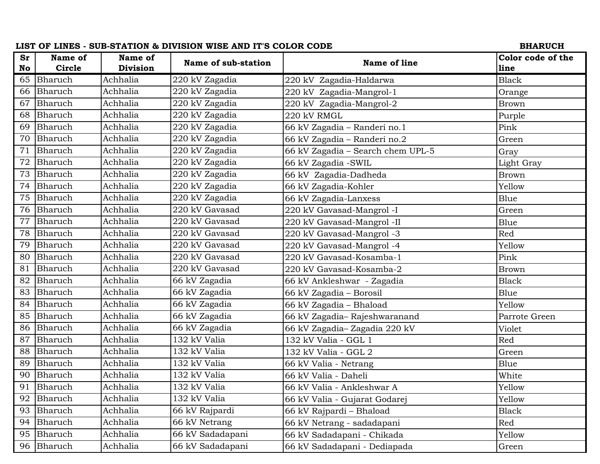|           |         |                 | LIST OF LINES - SUB-STATION & DIVISION WISE AND IT'S COLOR CODE |                                   | <b>BHARUCH</b>    |
|-----------|---------|-----------------|-----------------------------------------------------------------|-----------------------------------|-------------------|
| <b>Sr</b> | Name of | Name of         | Name of sub-station                                             | Name of line                      | Color code of the |
| No        | Circle  | <b>Division</b> |                                                                 |                                   | line              |
| 65        | Bharuch | Achhalia        | 220 kV Zagadia                                                  | 220 kV Zagadia-Haldarwa           | <b>Black</b>      |
| 66        | Bharuch | Achhalia        | 220 kV Zagadia                                                  | 220 kV Zagadia-Mangrol-1          | Orange            |
| 67        | Bharuch | Achhalia        | 220 kV Zagadia                                                  | 220 kV Zagadia-Mangrol-2          | <b>Brown</b>      |
| 68        | Bharuch | Achhalia        | 220 kV Zagadia                                                  | 220 kV RMGL                       | Purple            |
| 69        | Bharuch | Achhalia        | 220 kV Zagadia                                                  | 66 kV Zagadia - Randeri no.1      | Pink              |
| 70        | Bharuch | Achhalia        | 220 kV Zagadia                                                  | 66 kV Zagadia - Randeri no.2      | Green             |
| 71        | Bharuch | Achhalia        | 220 kV Zagadia                                                  | 66 kV Zagadia - Search chem UPL-5 | Gray              |
| 72        | Bharuch | Achhalia        | 220 kV Zagadia                                                  | 66 kV Zagadia - SWIL              | Light Gray        |
| 73        | Bharuch | Achhalia        | $220$ kV Zagadia                                                | 66 kV Zagadia-Dadheda             | <b>Brown</b>      |
| 74        | Bharuch | Achhalia        | 220 kV Zagadia                                                  | 66 kV Zagadia-Kohler              | Yellow            |
| 75        | Bharuch | Achhalia        | 220 kV Zagadia                                                  | 66 kV Zagadia-Lanxess             | Blue              |
| 76        | Bharuch | Achhalia        | $220$ kV Gavasad                                                | 220 kV Gavasad-Mangrol -I         | Green             |
| 77        | Bharuch | Achhalia        | 220 kV Gavasad                                                  | 220 kV Gavasad-Mangrol -II        | Blue              |
| 78        | Bharuch | Achhalia        | 220 kV Gavasad                                                  | 220 kV Gavasad-Mangrol -3         | Red               |
| 79        | Bharuch | Achhalia        | 220 kV Gavasad                                                  | 220 kV Gavasad-Mangrol -4         | Yellow            |
| 80        | Bharuch | Achhalia        | 220 kV Gavasad                                                  | 220 kV Gavasad-Kosamba-1          | Pink              |
| 81        | Bharuch | Achhalia        | 220 kV Gavasad                                                  | 220 kV Gavasad-Kosamba-2          | <b>Brown</b>      |
| 82        | Bharuch | Achhalia        | 66 kV Zagadia                                                   | 66 kV Ankleshwar - Zagadia        | <b>Black</b>      |
| 83        | Bharuch | Achhalia        | 66 kV Zagadia                                                   | 66 kV Zagadia - Borosil           | Blue              |
| 84        | Bharuch | Achhalia        | 66 kV Zagadia                                                   | 66 kV Zagadia - Bhaload           | Yellow            |
| 85        | Bharuch | Achhalia        | 66 kV Zagadia                                                   | 66 kV Zagadia-Rajeshwaranand      | Parrote Green     |
| 86        | Bharuch | Achhalia        | 66 kV Zagadia                                                   | 66 kV Zagadia-Zagadia 220 kV      | Violet            |
| 87        | Bharuch | Achhalia        | 132 kV Valia                                                    | 132 kV Valia - GGL 1              | Red               |
| 88        | Bharuch | Achhalia        | 132 kV Valia                                                    | 132 kV Valia - GGL 2              | Green             |
| 89        | Bharuch | Achhalia        | 132 kV Valia                                                    | 66 kV Valia - Netrang             | Blue              |
| 90        | Bharuch | Achhalia        | 132 kV Valia                                                    | 66 kV Valia - Daheli              | White             |
| 91        | Bharuch | Achhalia        | 132 kV Valia                                                    | 66 kV Valia - Ankleshwar A        | Yellow            |
| 92        | Bharuch | Achhalia        | 132 kV Valia                                                    | 66 kV Valia - Gujarat Godarej     | Yellow            |
| 93        | Bharuch | Achhalia        | 66 kV Rajpardi                                                  | 66 kV Rajpardi - Bhaload          | <b>Black</b>      |
| 94        | Bharuch | Achhalia        | 66 kV Netrang                                                   | 66 kV Netrang - sadadapani        | Red               |
| 95        | Bharuch | Achhalia        | 66 kV Sadadapani                                                | 66 kV Sadadapani - Chikada        | Yellow            |
| 96        | Bharuch | Achhalia        | 66 kV Sadadapani                                                | 66 kV Sadadapani - Dediapada      | Green             |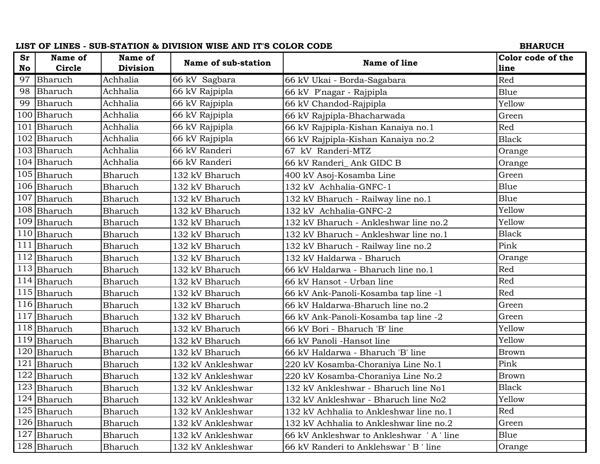|           |               |                 | LIST OF LINES - SUB-STATION & DIVISION WISE AND IT'S COLOR CODE |                                         | <b>BHARUCH</b>    |
|-----------|---------------|-----------------|-----------------------------------------------------------------|-----------------------------------------|-------------------|
| <b>Sr</b> | Name of       | Name of         | Name of sub-station                                             | Name of line                            | Color code of the |
| No        | Circle        | <b>Division</b> |                                                                 |                                         | line              |
| 97        | Bharuch       | Achhalia        | 66 kV Sagbara                                                   | 66 kV Ukai - Borda-Sagabara             | Red               |
| 98        | Bharuch       | Achhalia        | 66 kV Rajpipla                                                  | 66 kV P'nagar - Rajpipla                | Blue              |
| 99        | Bharuch       | Achhalia        | 66 kV Rajpipla                                                  | 66 kV Chandod-Rajpipla                  | Yellow            |
| 100       | Bharuch       | Achhalia        | 66 kV Rajpipla                                                  | 66 kV Rajpipla-Bhacharwada              | Green             |
| 101       | Bharuch       | Achhalia        | 66 kV Rajpipla                                                  | 66 kV Rajpipla-Kishan Kanaiya no.1      | Red               |
|           | 102 Bharuch   | Achhalia        | 66 kV Rajpipla                                                  | 66 kV Rajpipla-Kishan Kanaiya no.2      | <b>Black</b>      |
|           | 103 Bharuch   | Achhalia        | 66 kV Randeri                                                   | 67 kV Randeri-MTZ                       | Orange            |
|           | 104 Bharuch   | Achhalia        | 66 kV Randeri                                                   | 66 kV Randeri_Ank GIDC B                | Orange            |
|           | 105 Bharuch   | Bharuch         | 132 kV Bharuch                                                  | 400 kV Asoj-Kosamba Line                | Green             |
|           | 106 Bharuch   | Bharuch         | 132 kV Bharuch                                                  | 132 kV Achhalia-GNFC-1                  | Blue              |
| 107       | Bharuch       | Bharuch         | 132 kV Bharuch                                                  | 132 kV Bharuch - Railway line no.1      | Blue              |
|           | 108 Bharuch   | <b>Bharuch</b>  | 132 kV Bharuch                                                  | 132 kV Achhalia-GNFC-2                  | Yellow            |
| 109       | Bharuch       | Bharuch         | 132 kV Bharuch                                                  | 132 kV Bharuch - Ankleshwar line no.2   | Yellow            |
|           | 110 Bharuch   | Bharuch         | 132 kV Bharuch                                                  | 132 kV Bharuch - Ankleshwar line no.1   | <b>Black</b>      |
| 111       | Bharuch       | Bharuch         | 132 kV Bharuch                                                  | 132 kV Bharuch - Railway line no.2      | Pink              |
| 112       | Bharuch       | Bharuch         | 132 kV Bharuch                                                  | 132 kV Haldarwa - Bharuch               | Orange            |
|           | $113$ Bharuch | <b>Bharuch</b>  | 132 kV Bharuch                                                  | 66 kV Haldarwa - Bharuch line no.1      | Red               |
| 114       | Bharuch       | <b>Bharuch</b>  | 132 kV Bharuch                                                  | 66 kV Hansot - Urban line               | Red               |
|           | 115 Bharuch   | Bharuch         | 132 kV Bharuch                                                  | 66 kV Ank-Panoli-Kosamba tap line -1    | Red               |
|           | 116 Bharuch   | Bharuch         | 132 kV Bharuch                                                  | 66 kV Haldarwa-Bharuch line no.2        | Green             |
| 117       | Bharuch       | Bharuch         | 132 kV Bharuch                                                  | 66 kV Ank-Panoli-Kosamba tap line -2    | Green             |
|           | 118 Bharuch   | <b>Bharuch</b>  | 132 kV Bharuch                                                  | 66 kV Bori - Bharuch 'B' line           | Yellow            |
| 119       | Bharuch       | Bharuch         | 132 kV Bharuch                                                  | 66 kV Panoli -Hansot line               | Yellow            |
| 120       | Bharuch       | Bharuch         | 132 kV Bharuch                                                  | 66 kV Haldarwa - Bharuch 'B' line       | <b>Brown</b>      |
| 121       | Bharuch       | Bharuch         | 132 kV Ankleshwar                                               | 220 kV Kosamba-Choraniya Line No.1      | Pink              |
| 122       | Bharuch       | Bharuch         | 132 kV Ankleshwar                                               | 220 kV Kosamba-Choraniya Line No.2      | <b>Brown</b>      |
|           | 123 Bharuch   | Bharuch         | 132 kV Ankleshwar                                               | 132 kV Ankleshwar - Bharuch line No1    | <b>Black</b>      |
|           | $124$ Bharuch | Bharuch         | 132 kV Ankleshwar                                               | 132 kV Ankleshwar - Bharuch line No2    | Yellow            |
|           | 125 Bharuch   | Bharuch         | 132 kV Ankleshwar                                               | 132 kV Achhalia to Ankleshwar line no.1 | Red               |
|           | 126 Bharuch   | Bharuch         | 132 kV Ankleshwar                                               | 132 kV Achhalia to Ankleshwar line no.2 | Green             |
| 127       | Bharuch       | Bharuch         | 132 kV Ankleshwar                                               | 66 kV Ankleshwar to Ankleshwar 'A'line  | Blue              |
|           | 128 Bharuch   | <b>Bharuch</b>  | 132 kV Ankleshwar                                               | 66 kV Randeri to Anklehswar ' B ' line  | Orange            |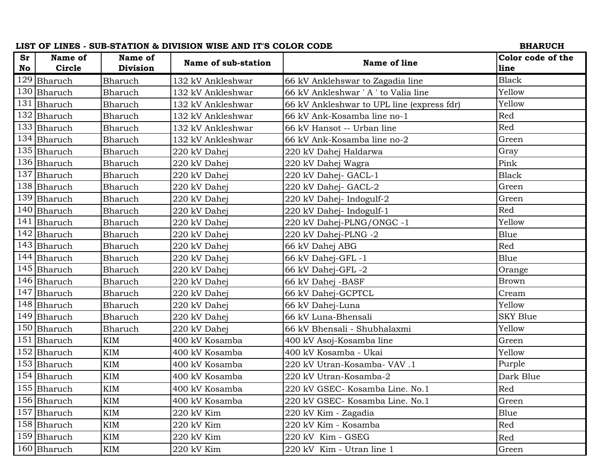| <b>Sr</b><br>Name of<br>Name of<br>Color code of the<br>Name of sub-station<br>Name of line<br>Circle<br>Division<br>No<br>line<br>$129$ Bharuch<br><b>Black</b><br>Bharuch<br>132 kV Ankleshwar<br>66 kV Anklehswar to Zagadia line<br>Yellow<br>130 Bharuch<br>66 kV Ankleshwar ' A ' to Valia line<br>Bharuch<br>132 kV Ankleshwar<br>131 Bharuch<br>Yellow<br>Bharuch<br>132 kV Ankleshwar<br>66 kV Ankleshwar to UPL line (express fdr)<br>132 Bharuch<br>Red<br>Bharuch<br>132 kV Ankleshwar<br>66 kV Ank-Kosamba line no-1<br>133 Bharuch<br>Red<br>Bharuch<br>132 kV Ankleshwar<br>66 kV Hansot -- Urban line<br>134 Bharuch<br>Green<br>Bharuch<br>132 kV Ankleshwar<br>66 kV Ank-Kosamba line no-2<br>135 Bharuch<br>Gray<br>Bharuch<br>220 kV Dahej<br>220 kV Dahej Haldarwa<br>136 Bharuch<br>Pink<br>Bharuch<br>220 kV Dahej Wagra<br>220 kV Dahej<br>137 Bharuch<br><b>Black</b><br>Bharuch<br>220 kV Dahej<br>220 kV Dahej- GACL-1<br>138 Bharuch<br>Green<br>Bharuch<br>220 kV Dahej- GACL-2<br>220 kV Dahej<br>139 Bharuch<br>Green<br>Bharuch<br>220 kV Dahej<br>220 kV Dahej- Indogulf-2<br>Red<br>140 Bharuch<br>Bharuch<br>220 kV Dahej<br>220 kV Dahej- Indogulf-1<br>141<br>Yellow<br>Bharuch<br>Bharuch<br>220 kV Dahej-PLNG/ONGC -1<br>220 kV Dahej<br>142 Bharuch<br>220 kV Dahej-PLNG -2<br>Bharuch<br>220 kV Dahej<br>Blue<br>143 Bharuch<br>Red<br>Bharuch<br>220 kV Dahej<br>66 kV Dahej ABG<br>144 Bharuch<br>Bharuch<br>Blue<br>220 kV Dahej<br>66 kV Dahej-GFL-1<br>145 Bharuch<br>66 kV Dahej-GFL -2<br>Bharuch<br>220 kV Dahej<br>Orange<br>146 Bharuch<br><b>Brown</b><br><b>Bharuch</b><br>66 kV Dahej - BASF<br>220 kV Dahej<br>147 Bharuch<br>Bharuch<br>Cream<br>220 kV Dahej<br>66 kV Dahej-GCPTCL<br>148 Bharuch<br>Yellow<br>Bharuch<br>66 kV Dahej-Luna<br>220 kV Dahej<br>149 Bharuch<br><b>SKY Blue</b><br><b>Bharuch</b><br>220 kV Dahej<br>66 kV Luna-Bhensali<br>Yellow<br>150 Bharuch<br>Bharuch<br>220 kV Dahej<br>66 kV Bhensali - Shubhalaxmi<br>151 Bharuch<br><b>KIM</b><br>400 kV Kosamba<br>400 kV Asoj-Kosamba line<br>Green<br>152 Bharuch<br><b>KIM</b><br>400 kV Kosamba - Ukai<br>Yellow<br>400 kV Kosamba<br>Purple<br>153 Bharuch<br><b>KIM</b><br>400 kV Kosamba<br>220 kV Utran-Kosamba- VAV.1<br>154 Bharuch<br>$\mathop{\rm KIM}\nolimits$<br>Dark Blue<br>220 kV Utran-Kosamba-2<br>400 kV Kosamba<br>155 Bharuch<br>Red<br><b>KIM</b><br>400 kV Kosamba<br>220 kV GSEC- Kosamba Line. No.1<br>156 Bharuch<br>Green<br>KIM<br>400 kV Kosamba<br>220 kV GSEC- Kosamba Line. No.1<br>157 Bharuch<br>KIM<br>220 kV Kim<br>220 kV Kim - Zagadia<br>Blue<br>158 Bharuch<br>220 kV Kim - Kosamba<br><b>KIM</b><br>220 kV Kim<br>Red<br>159 Bharuch<br>KIM<br>220 kV Kim<br>220 kV Kim - GSEG<br>Red<br>$160$ Bharuch<br>KIM<br>220 kV Kim<br>220 kV Kim - Utran line 1<br>Green |  | LIST OF LINES - SUB-STATION & DIVISION WISE AND IT'S COLOR CODE | <b>BHARUCH</b> |
|------------------------------------------------------------------------------------------------------------------------------------------------------------------------------------------------------------------------------------------------------------------------------------------------------------------------------------------------------------------------------------------------------------------------------------------------------------------------------------------------------------------------------------------------------------------------------------------------------------------------------------------------------------------------------------------------------------------------------------------------------------------------------------------------------------------------------------------------------------------------------------------------------------------------------------------------------------------------------------------------------------------------------------------------------------------------------------------------------------------------------------------------------------------------------------------------------------------------------------------------------------------------------------------------------------------------------------------------------------------------------------------------------------------------------------------------------------------------------------------------------------------------------------------------------------------------------------------------------------------------------------------------------------------------------------------------------------------------------------------------------------------------------------------------------------------------------------------------------------------------------------------------------------------------------------------------------------------------------------------------------------------------------------------------------------------------------------------------------------------------------------------------------------------------------------------------------------------------------------------------------------------------------------------------------------------------------------------------------------------------------------------------------------------------------------------------------------------------------------------------------------------------------------------------------------------------------------------------------------------------------------------------------------------------------------------------------------------------------------------------------------------------------------------------------------------------------------------------|--|-----------------------------------------------------------------|----------------|
|                                                                                                                                                                                                                                                                                                                                                                                                                                                                                                                                                                                                                                                                                                                                                                                                                                                                                                                                                                                                                                                                                                                                                                                                                                                                                                                                                                                                                                                                                                                                                                                                                                                                                                                                                                                                                                                                                                                                                                                                                                                                                                                                                                                                                                                                                                                                                                                                                                                                                                                                                                                                                                                                                                                                                                                                                                                |  |                                                                 |                |
|                                                                                                                                                                                                                                                                                                                                                                                                                                                                                                                                                                                                                                                                                                                                                                                                                                                                                                                                                                                                                                                                                                                                                                                                                                                                                                                                                                                                                                                                                                                                                                                                                                                                                                                                                                                                                                                                                                                                                                                                                                                                                                                                                                                                                                                                                                                                                                                                                                                                                                                                                                                                                                                                                                                                                                                                                                                |  |                                                                 |                |
|                                                                                                                                                                                                                                                                                                                                                                                                                                                                                                                                                                                                                                                                                                                                                                                                                                                                                                                                                                                                                                                                                                                                                                                                                                                                                                                                                                                                                                                                                                                                                                                                                                                                                                                                                                                                                                                                                                                                                                                                                                                                                                                                                                                                                                                                                                                                                                                                                                                                                                                                                                                                                                                                                                                                                                                                                                                |  |                                                                 |                |
|                                                                                                                                                                                                                                                                                                                                                                                                                                                                                                                                                                                                                                                                                                                                                                                                                                                                                                                                                                                                                                                                                                                                                                                                                                                                                                                                                                                                                                                                                                                                                                                                                                                                                                                                                                                                                                                                                                                                                                                                                                                                                                                                                                                                                                                                                                                                                                                                                                                                                                                                                                                                                                                                                                                                                                                                                                                |  |                                                                 |                |
|                                                                                                                                                                                                                                                                                                                                                                                                                                                                                                                                                                                                                                                                                                                                                                                                                                                                                                                                                                                                                                                                                                                                                                                                                                                                                                                                                                                                                                                                                                                                                                                                                                                                                                                                                                                                                                                                                                                                                                                                                                                                                                                                                                                                                                                                                                                                                                                                                                                                                                                                                                                                                                                                                                                                                                                                                                                |  |                                                                 |                |
|                                                                                                                                                                                                                                                                                                                                                                                                                                                                                                                                                                                                                                                                                                                                                                                                                                                                                                                                                                                                                                                                                                                                                                                                                                                                                                                                                                                                                                                                                                                                                                                                                                                                                                                                                                                                                                                                                                                                                                                                                                                                                                                                                                                                                                                                                                                                                                                                                                                                                                                                                                                                                                                                                                                                                                                                                                                |  |                                                                 |                |
|                                                                                                                                                                                                                                                                                                                                                                                                                                                                                                                                                                                                                                                                                                                                                                                                                                                                                                                                                                                                                                                                                                                                                                                                                                                                                                                                                                                                                                                                                                                                                                                                                                                                                                                                                                                                                                                                                                                                                                                                                                                                                                                                                                                                                                                                                                                                                                                                                                                                                                                                                                                                                                                                                                                                                                                                                                                |  |                                                                 |                |
|                                                                                                                                                                                                                                                                                                                                                                                                                                                                                                                                                                                                                                                                                                                                                                                                                                                                                                                                                                                                                                                                                                                                                                                                                                                                                                                                                                                                                                                                                                                                                                                                                                                                                                                                                                                                                                                                                                                                                                                                                                                                                                                                                                                                                                                                                                                                                                                                                                                                                                                                                                                                                                                                                                                                                                                                                                                |  |                                                                 |                |
|                                                                                                                                                                                                                                                                                                                                                                                                                                                                                                                                                                                                                                                                                                                                                                                                                                                                                                                                                                                                                                                                                                                                                                                                                                                                                                                                                                                                                                                                                                                                                                                                                                                                                                                                                                                                                                                                                                                                                                                                                                                                                                                                                                                                                                                                                                                                                                                                                                                                                                                                                                                                                                                                                                                                                                                                                                                |  |                                                                 |                |
|                                                                                                                                                                                                                                                                                                                                                                                                                                                                                                                                                                                                                                                                                                                                                                                                                                                                                                                                                                                                                                                                                                                                                                                                                                                                                                                                                                                                                                                                                                                                                                                                                                                                                                                                                                                                                                                                                                                                                                                                                                                                                                                                                                                                                                                                                                                                                                                                                                                                                                                                                                                                                                                                                                                                                                                                                                                |  |                                                                 |                |
|                                                                                                                                                                                                                                                                                                                                                                                                                                                                                                                                                                                                                                                                                                                                                                                                                                                                                                                                                                                                                                                                                                                                                                                                                                                                                                                                                                                                                                                                                                                                                                                                                                                                                                                                                                                                                                                                                                                                                                                                                                                                                                                                                                                                                                                                                                                                                                                                                                                                                                                                                                                                                                                                                                                                                                                                                                                |  |                                                                 |                |
|                                                                                                                                                                                                                                                                                                                                                                                                                                                                                                                                                                                                                                                                                                                                                                                                                                                                                                                                                                                                                                                                                                                                                                                                                                                                                                                                                                                                                                                                                                                                                                                                                                                                                                                                                                                                                                                                                                                                                                                                                                                                                                                                                                                                                                                                                                                                                                                                                                                                                                                                                                                                                                                                                                                                                                                                                                                |  |                                                                 |                |
|                                                                                                                                                                                                                                                                                                                                                                                                                                                                                                                                                                                                                                                                                                                                                                                                                                                                                                                                                                                                                                                                                                                                                                                                                                                                                                                                                                                                                                                                                                                                                                                                                                                                                                                                                                                                                                                                                                                                                                                                                                                                                                                                                                                                                                                                                                                                                                                                                                                                                                                                                                                                                                                                                                                                                                                                                                                |  |                                                                 |                |
|                                                                                                                                                                                                                                                                                                                                                                                                                                                                                                                                                                                                                                                                                                                                                                                                                                                                                                                                                                                                                                                                                                                                                                                                                                                                                                                                                                                                                                                                                                                                                                                                                                                                                                                                                                                                                                                                                                                                                                                                                                                                                                                                                                                                                                                                                                                                                                                                                                                                                                                                                                                                                                                                                                                                                                                                                                                |  |                                                                 |                |
|                                                                                                                                                                                                                                                                                                                                                                                                                                                                                                                                                                                                                                                                                                                                                                                                                                                                                                                                                                                                                                                                                                                                                                                                                                                                                                                                                                                                                                                                                                                                                                                                                                                                                                                                                                                                                                                                                                                                                                                                                                                                                                                                                                                                                                                                                                                                                                                                                                                                                                                                                                                                                                                                                                                                                                                                                                                |  |                                                                 |                |
|                                                                                                                                                                                                                                                                                                                                                                                                                                                                                                                                                                                                                                                                                                                                                                                                                                                                                                                                                                                                                                                                                                                                                                                                                                                                                                                                                                                                                                                                                                                                                                                                                                                                                                                                                                                                                                                                                                                                                                                                                                                                                                                                                                                                                                                                                                                                                                                                                                                                                                                                                                                                                                                                                                                                                                                                                                                |  |                                                                 |                |
|                                                                                                                                                                                                                                                                                                                                                                                                                                                                                                                                                                                                                                                                                                                                                                                                                                                                                                                                                                                                                                                                                                                                                                                                                                                                                                                                                                                                                                                                                                                                                                                                                                                                                                                                                                                                                                                                                                                                                                                                                                                                                                                                                                                                                                                                                                                                                                                                                                                                                                                                                                                                                                                                                                                                                                                                                                                |  |                                                                 |                |
|                                                                                                                                                                                                                                                                                                                                                                                                                                                                                                                                                                                                                                                                                                                                                                                                                                                                                                                                                                                                                                                                                                                                                                                                                                                                                                                                                                                                                                                                                                                                                                                                                                                                                                                                                                                                                                                                                                                                                                                                                                                                                                                                                                                                                                                                                                                                                                                                                                                                                                                                                                                                                                                                                                                                                                                                                                                |  |                                                                 |                |
|                                                                                                                                                                                                                                                                                                                                                                                                                                                                                                                                                                                                                                                                                                                                                                                                                                                                                                                                                                                                                                                                                                                                                                                                                                                                                                                                                                                                                                                                                                                                                                                                                                                                                                                                                                                                                                                                                                                                                                                                                                                                                                                                                                                                                                                                                                                                                                                                                                                                                                                                                                                                                                                                                                                                                                                                                                                |  |                                                                 |                |
|                                                                                                                                                                                                                                                                                                                                                                                                                                                                                                                                                                                                                                                                                                                                                                                                                                                                                                                                                                                                                                                                                                                                                                                                                                                                                                                                                                                                                                                                                                                                                                                                                                                                                                                                                                                                                                                                                                                                                                                                                                                                                                                                                                                                                                                                                                                                                                                                                                                                                                                                                                                                                                                                                                                                                                                                                                                |  |                                                                 |                |
|                                                                                                                                                                                                                                                                                                                                                                                                                                                                                                                                                                                                                                                                                                                                                                                                                                                                                                                                                                                                                                                                                                                                                                                                                                                                                                                                                                                                                                                                                                                                                                                                                                                                                                                                                                                                                                                                                                                                                                                                                                                                                                                                                                                                                                                                                                                                                                                                                                                                                                                                                                                                                                                                                                                                                                                                                                                |  |                                                                 |                |
|                                                                                                                                                                                                                                                                                                                                                                                                                                                                                                                                                                                                                                                                                                                                                                                                                                                                                                                                                                                                                                                                                                                                                                                                                                                                                                                                                                                                                                                                                                                                                                                                                                                                                                                                                                                                                                                                                                                                                                                                                                                                                                                                                                                                                                                                                                                                                                                                                                                                                                                                                                                                                                                                                                                                                                                                                                                |  |                                                                 |                |
|                                                                                                                                                                                                                                                                                                                                                                                                                                                                                                                                                                                                                                                                                                                                                                                                                                                                                                                                                                                                                                                                                                                                                                                                                                                                                                                                                                                                                                                                                                                                                                                                                                                                                                                                                                                                                                                                                                                                                                                                                                                                                                                                                                                                                                                                                                                                                                                                                                                                                                                                                                                                                                                                                                                                                                                                                                                |  |                                                                 |                |
|                                                                                                                                                                                                                                                                                                                                                                                                                                                                                                                                                                                                                                                                                                                                                                                                                                                                                                                                                                                                                                                                                                                                                                                                                                                                                                                                                                                                                                                                                                                                                                                                                                                                                                                                                                                                                                                                                                                                                                                                                                                                                                                                                                                                                                                                                                                                                                                                                                                                                                                                                                                                                                                                                                                                                                                                                                                |  |                                                                 |                |
|                                                                                                                                                                                                                                                                                                                                                                                                                                                                                                                                                                                                                                                                                                                                                                                                                                                                                                                                                                                                                                                                                                                                                                                                                                                                                                                                                                                                                                                                                                                                                                                                                                                                                                                                                                                                                                                                                                                                                                                                                                                                                                                                                                                                                                                                                                                                                                                                                                                                                                                                                                                                                                                                                                                                                                                                                                                |  |                                                                 |                |
|                                                                                                                                                                                                                                                                                                                                                                                                                                                                                                                                                                                                                                                                                                                                                                                                                                                                                                                                                                                                                                                                                                                                                                                                                                                                                                                                                                                                                                                                                                                                                                                                                                                                                                                                                                                                                                                                                                                                                                                                                                                                                                                                                                                                                                                                                                                                                                                                                                                                                                                                                                                                                                                                                                                                                                                                                                                |  |                                                                 |                |
|                                                                                                                                                                                                                                                                                                                                                                                                                                                                                                                                                                                                                                                                                                                                                                                                                                                                                                                                                                                                                                                                                                                                                                                                                                                                                                                                                                                                                                                                                                                                                                                                                                                                                                                                                                                                                                                                                                                                                                                                                                                                                                                                                                                                                                                                                                                                                                                                                                                                                                                                                                                                                                                                                                                                                                                                                                                |  |                                                                 |                |
|                                                                                                                                                                                                                                                                                                                                                                                                                                                                                                                                                                                                                                                                                                                                                                                                                                                                                                                                                                                                                                                                                                                                                                                                                                                                                                                                                                                                                                                                                                                                                                                                                                                                                                                                                                                                                                                                                                                                                                                                                                                                                                                                                                                                                                                                                                                                                                                                                                                                                                                                                                                                                                                                                                                                                                                                                                                |  |                                                                 |                |
|                                                                                                                                                                                                                                                                                                                                                                                                                                                                                                                                                                                                                                                                                                                                                                                                                                                                                                                                                                                                                                                                                                                                                                                                                                                                                                                                                                                                                                                                                                                                                                                                                                                                                                                                                                                                                                                                                                                                                                                                                                                                                                                                                                                                                                                                                                                                                                                                                                                                                                                                                                                                                                                                                                                                                                                                                                                |  |                                                                 |                |
|                                                                                                                                                                                                                                                                                                                                                                                                                                                                                                                                                                                                                                                                                                                                                                                                                                                                                                                                                                                                                                                                                                                                                                                                                                                                                                                                                                                                                                                                                                                                                                                                                                                                                                                                                                                                                                                                                                                                                                                                                                                                                                                                                                                                                                                                                                                                                                                                                                                                                                                                                                                                                                                                                                                                                                                                                                                |  |                                                                 |                |
|                                                                                                                                                                                                                                                                                                                                                                                                                                                                                                                                                                                                                                                                                                                                                                                                                                                                                                                                                                                                                                                                                                                                                                                                                                                                                                                                                                                                                                                                                                                                                                                                                                                                                                                                                                                                                                                                                                                                                                                                                                                                                                                                                                                                                                                                                                                                                                                                                                                                                                                                                                                                                                                                                                                                                                                                                                                |  |                                                                 |                |
|                                                                                                                                                                                                                                                                                                                                                                                                                                                                                                                                                                                                                                                                                                                                                                                                                                                                                                                                                                                                                                                                                                                                                                                                                                                                                                                                                                                                                                                                                                                                                                                                                                                                                                                                                                                                                                                                                                                                                                                                                                                                                                                                                                                                                                                                                                                                                                                                                                                                                                                                                                                                                                                                                                                                                                                                                                                |  |                                                                 |                |
|                                                                                                                                                                                                                                                                                                                                                                                                                                                                                                                                                                                                                                                                                                                                                                                                                                                                                                                                                                                                                                                                                                                                                                                                                                                                                                                                                                                                                                                                                                                                                                                                                                                                                                                                                                                                                                                                                                                                                                                                                                                                                                                                                                                                                                                                                                                                                                                                                                                                                                                                                                                                                                                                                                                                                                                                                                                |  |                                                                 |                |
|                                                                                                                                                                                                                                                                                                                                                                                                                                                                                                                                                                                                                                                                                                                                                                                                                                                                                                                                                                                                                                                                                                                                                                                                                                                                                                                                                                                                                                                                                                                                                                                                                                                                                                                                                                                                                                                                                                                                                                                                                                                                                                                                                                                                                                                                                                                                                                                                                                                                                                                                                                                                                                                                                                                                                                                                                                                |  |                                                                 |                |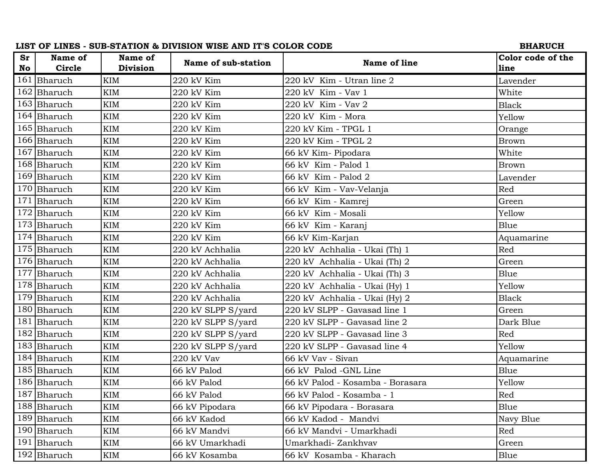|    |               |            | LIST OF LINES - SUB-STATION & DIVISION WISE AND IT'S COLOR CODE |                                  | <b>BHARUCH</b>    |
|----|---------------|------------|-----------------------------------------------------------------|----------------------------------|-------------------|
| Sr | Name of       | Name of    | Name of sub-station                                             | Name of line                     | Color code of the |
| No | <b>Circle</b> | Division   |                                                                 |                                  | line              |
|    | 161 Bharuch   | <b>KIM</b> | 220 kV Kim                                                      | 220 kV Kim - Utran line 2        | Lavender          |
|    | 162 Bharuch   | <b>KIM</b> | 220 kV Kim                                                      | 220 kV Kim - Vav 1               | White             |
|    | 163 Bharuch   | <b>KIM</b> | 220 kV Kim                                                      | 220 kV Kim - Vav 2               | <b>Black</b>      |
|    | 164 Bharuch   | <b>KIM</b> | 220 kV Kim                                                      | 220 kV Kim - Mora                | Yellow            |
|    | 165 Bharuch   | <b>KIM</b> | 220 kV Kim                                                      | 220 kV Kim - TPGL 1              | Orange            |
|    | 166 Bharuch   | <b>KIM</b> | 220 kV Kim                                                      | 220 kV Kim - TPGL 2              | <b>Brown</b>      |
|    | 167 Bharuch   | <b>KIM</b> | 220 kV Kim                                                      | 66 kV Kim-Pipodara               | White             |
|    | 168 Bharuch   | <b>KIM</b> | 220 kV Kim                                                      | 66 kV Kim - Palod 1              | <b>Brown</b>      |
|    | 169 Bharuch   | <b>KIM</b> | 220 kV Kim                                                      | 66 kV Kim - Palod 2              | Lavender          |
|    | 170 Bharuch   | <b>KIM</b> | 220 kV Kim                                                      | 66 kV Kim - Vav-Velanja          | Red               |
|    | 171 Bharuch   | <b>KIM</b> | 220 kV Kim                                                      | 66 kV Kim - Kamrej               | Green             |
|    | 172 Bharuch   | <b>KIM</b> | 220 kV Kim                                                      | 66 kV Kim - Mosali               | Yellow            |
|    | 173 Bharuch   | <b>KIM</b> | 220 kV Kim                                                      | 66 kV Kim - Karanj               | Blue              |
|    | 174 Bharuch   | <b>KIM</b> | 220 kV Kim                                                      | 66 kV Kim-Karjan                 | Aquamarine        |
|    | 175 Bharuch   | <b>KIM</b> | 220 kV Achhalia                                                 | 220 kV Achhalia - Ukai (Th) 1    | Red               |
|    | 176 Bharuch   | <b>KIM</b> | 220 kV Achhalia                                                 | 220 kV Achhalia - Ukai (Th) 2    | Green             |
|    | 177 Bharuch   | <b>KIM</b> | 220 kV Achhalia                                                 | 220 kV Achhalia - Ukai (Th) 3    | Blue              |
|    | 178 Bharuch   | <b>KIM</b> | 220 kV Achhalia                                                 | 220 kV Achhalia - Ukai (Hy) 1    | Yellow            |
|    | 179 Bharuch   | <b>KIM</b> | 220 kV Achhalia                                                 | 220 kV Achhalia - Ukai (Hy) 2    | <b>Black</b>      |
|    | 180 Bharuch   | <b>KIM</b> | 220 kV SLPP S/yard                                              | 220 kV SLPP - Gavasad line 1     | Green             |
|    | 181 Bharuch   | <b>KIM</b> | 220 kV SLPP S/yard                                              | 220 kV SLPP - Gavasad line 2     | Dark Blue         |
|    | 182 Bharuch   | <b>KIM</b> | 220 kV SLPP S/yard                                              | 220 kV SLPP - Gavasad line 3     | Red               |
|    | 183 Bharuch   | <b>KIM</b> | 220 kV SLPP S/yard                                              | 220 kV SLPP - Gavasad line 4     | Yellow            |
|    | 184 Bharuch   | <b>KIM</b> | 220 kV Vav                                                      | 66 kV Vav - Sivan                | Aquamarine        |
|    | 185 Bharuch   | <b>KIM</b> | 66 kV Palod                                                     | 66 kV Palod -GNL Line            | Blue              |
|    | 186 Bharuch   | KIM        | 66 kV Palod                                                     | 66 kV Palod - Kosamba - Borasara | Yellow            |
|    | 187 Bharuch   | KIM        | 66 kV Palod                                                     | 66 kV Palod - Kosamba - 1        | Red               |
|    | 188 Bharuch   | KIM        | 66 kV Pipodara                                                  | 66 kV Pipodara - Borasara        | Blue              |
|    | 189 Bharuch   | KIM        | 66 kV Kadod                                                     | 66 kV Kadod - Mandvi             | Navy Blue         |
|    | 190 Bharuch   | <b>KIM</b> | 66 kV Mandvi                                                    | 66 kV Mandvi - Umarkhadi         | Red               |
|    | 191 Bharuch   | KIM        | 66 kV Umarkhadi                                                 | Umarkhadi- Zankhvav              | Green             |
|    | 192 Bharuch   | KIM        | 66 kV Kosamba                                                   | 66 kV Kosamba - Kharach          | Blue              |